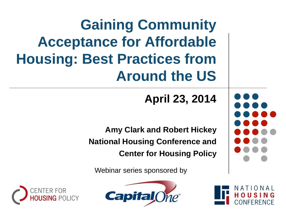**Gaining Community Acceptance for Affordable Housing: Best Practices from Around the US**

**April 23, 2014**

**Amy Clark and Robert Hickey National Housing Conference and Center for Housing Policy**

Webinar series sponsored by





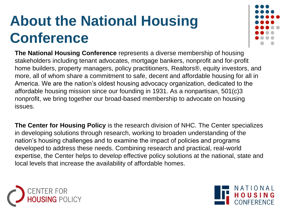## **About the National Housing Conference**

**The National Housing Conference** represents a diverse membership of housing stakeholders including tenant advocates, mortgage bankers, nonprofit and for-profit home builders, property managers, policy practitioners, Realtors®, equity investors, and more, all of whom share a commitment to safe, decent and affordable housing for all in America. We are the nation's oldest housing advocacy organization, dedicated to the affordable housing mission since our founding in 1931. As a nonpartisan, 501(c)3 nonprofit, we bring together our broad-based membership to advocate on housing issues.

**The Center for Housing Policy** is the research division of NHC. The Center specializes in developing solutions through research, working to broaden understanding of the nation's housing challenges and to examine the impact of policies and programs developed to address these needs. Combining research and practical, real-world expertise, the Center helps to develop effective policy solutions at the national, state and local levels that increase the availability of affordable homes.



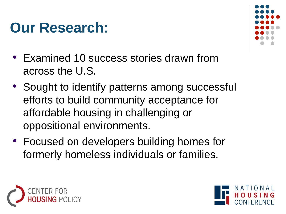#### **Our Research:**

- Examined 10 success stories drawn from across the U.S.
- Sought to identify patterns among successful efforts to build community acceptance for affordable housing in challenging or oppositional environments.
- Focused on developers building homes for formerly homeless individuals or families.





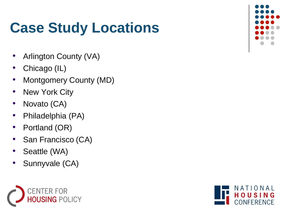#### **Case Study Locations**

- Arlington County (VA)
- Chicago (IL)
- Montgomery County (MD)
- New York City
- Novato (CA)
- Philadelphia (PA)
- Portland (OR)
- San Francisco (CA)
- Seattle (WA)
- Sunnyvale (CA)





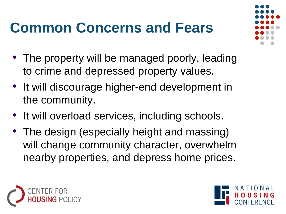## **Common Concerns and Fears**

- The property will be managed poorly, leading to crime and depressed property values.
- It will discourage higher-end development in the community.
- It will overload services, including schools.
- The design (especially height and massing) will change community character, overwhelm nearby properties, and depress home prices.





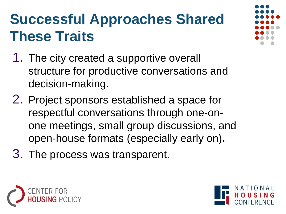## **Successful Approaches Shared These Traits**

- 1. The city created a supportive overall structure for productive conversations and decision-making.
- 2. Project sponsors established a space for respectful conversations through one-onone meetings, small group discussions, and open-house formats (especially early on)**.**
- 3. The process was transparent.



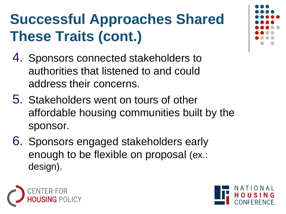# **Successful Approaches Shared These Traits (cont.)**

- 4. Sponsors connected stakeholders to authorities that listened to and could address their concerns.
- 5. Stakeholders went on tours of other affordable housing communities built by the sponsor.
- 6. Sponsors engaged stakeholders early enough to be flexible on proposal (ex.: design).



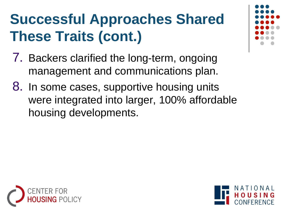# **Successful Approaches Shared These Traits (cont.)**

- 7. Backers clarified the long-term, ongoing management and communications plan.
- 8. In some cases, supportive housing units were integrated into larger, 100% affordable housing developments.



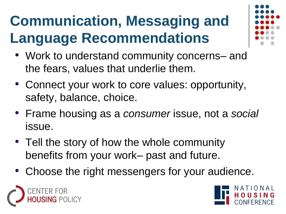# **Communication, Messaging and Language Recommendations**



- Work to understand community concerns– and the fears, values that underlie them.
- Connect your work to core values: opportunity, safety, balance, choice.
- Frame housing as a *consumer* issue, not a *social* issue.
- Tell the story of how the whole community benefits from your work– past and future.
- Choose the right messengers for your audience.